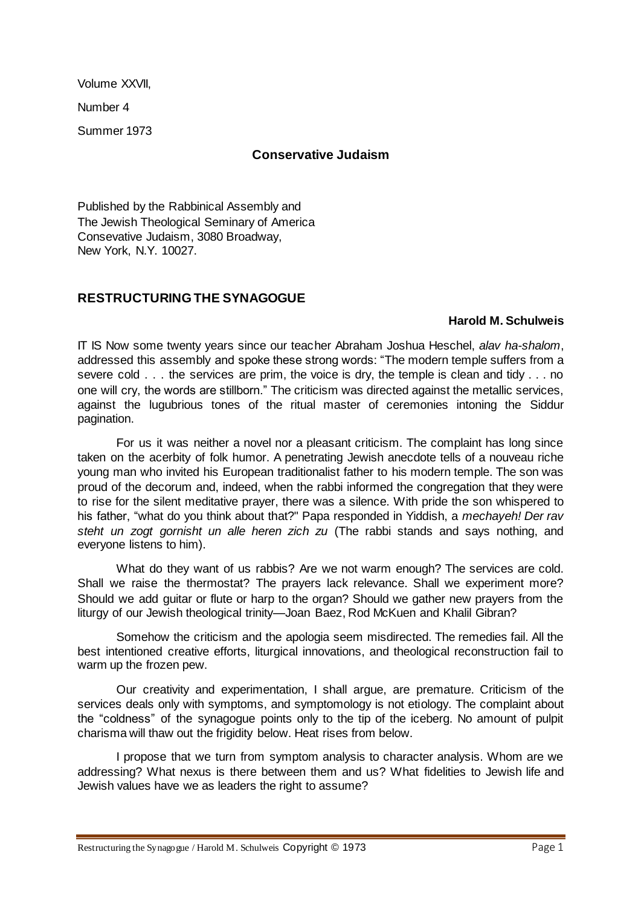Volume XXVII, Number 4 Summer 1973

### **Conservative Judaism**

Published by the Rabbinical Assembly and The Jewish Theological Seminary of America Consevative Judaism, 3080 Broadway, New York, N.Y. 10027.

# **RESTRUCTURING THE SYNAGOGUE**

### **Harold M. Schulweis**

IT IS Now some twenty years since our teacher Abraham Joshua Heschel, *alav ha-shalom*, addressed this assembly and spoke these strong words: "The modern temple suffers from a severe cold . . . the services are prim, the voice is dry, the temple is clean and tidy . . . no one will cry, the words are stillborn." The criticism was directed against the metallic services, against the lugubrious tones of the ritual master of ceremonies intoning the Siddur pagination.

For us it was neither a novel nor a pleasant criticism. The complaint has long since taken on the acerbity of folk humor. A penetrating Jewish anecdote tells of a nouveau riche young man who invited his European traditionalist father to his modern temple. The son was proud of the decorum and, indeed, when the rabbi informed the congregation that they were to rise for the silent meditative prayer, there was a silence. With pride the son whispered to his father, "what do you think about that?" Papa responded in Yiddish, a *mechayeh! Der rav steht un zogt gornisht un alle heren zich zu* (The rabbi stands and says nothing, and everyone listens to him).

What do they want of us rabbis? Are we not warm enough? The services are cold. Shall we raise the thermostat? The prayers lack relevance. Shall we experiment more? Should we add guitar or flute or harp to the organ? Should we gather new prayers from the liturgy of our Jewish theological trinity—Joan Baez, Rod McKuen and Khalil Gibran?

Somehow the criticism and the apologia seem misdirected. The remedies fail. All the best intentioned creative efforts, liturgical innovations, and theological reconstruction fail to warm up the frozen pew.

Our creativity and experimentation, I shall argue, are premature. Criticism of the services deals only with symptoms, and symptomology is not etiology. The complaint about the "coldness" of the synagogue points only to the tip of the iceberg. No amount of pulpit charisma will thaw out the frigidity below. Heat rises from below.

I propose that we turn from symptom analysis to character analysis. Whom are we addressing? What nexus is there between them and us? What fidelities to Jewish life and Jewish values have we as leaders the right to assume?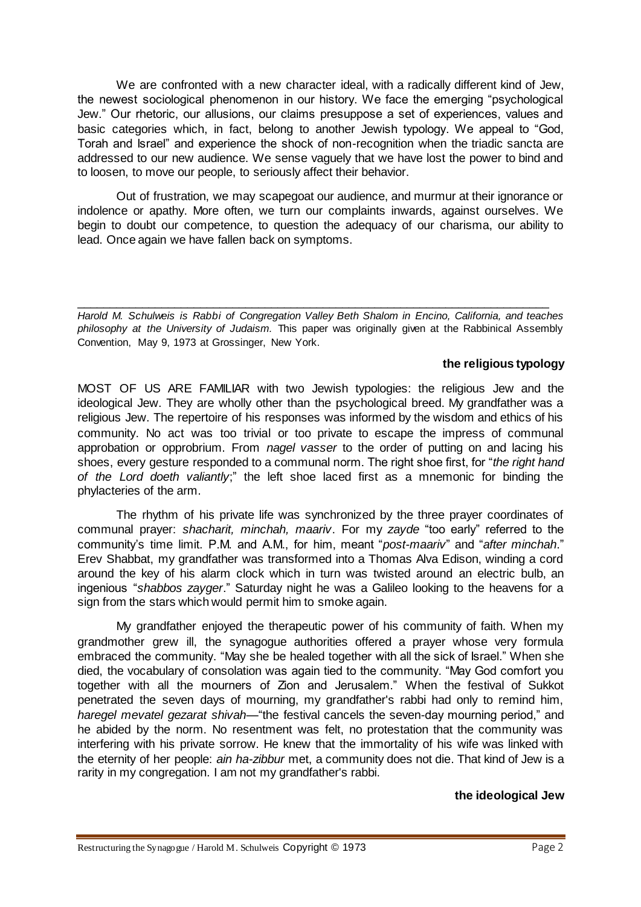We are confronted with a new character ideal, with a radically different kind of Jew, the newest sociological phenomenon in our history. We face the emerging "psychological Jew." Our rhetoric, our allusions, our claims presuppose a set of experiences, values and basic categories which, in fact, belong to another Jewish typology. We appeal to "God, Torah and Israel" and experience the shock of non-recognition when the triadic sancta are addressed to our new audience. We sense vaguely that we have lost the power to bind and to loosen, to move our people, to seriously affect their behavior.

Out of frustration, we may scapegoat our audience, and murmur at their ignorance or indolence or apathy. More often, we turn our complaints inwards, against ourselves. We begin to doubt our competence, to question the adequacy of our charisma, our ability to lead. Once again we have fallen back on symptoms.

\_\_\_\_\_\_\_\_\_\_\_\_\_\_\_\_\_\_\_\_\_\_\_\_\_\_\_\_\_\_\_\_\_\_\_\_\_\_\_\_\_\_\_\_\_\_\_\_\_\_\_\_\_\_\_\_\_\_\_\_\_\_\_\_\_\_\_\_\_\_\_\_\_ *Harold M. Schulweis is Rabbi of Congregation Valley Beth Shalom in Encino, California, and teaches philosophy at the University of Judaism.* This paper was originally given at the Rabbinical Assembly Convention, May 9, 1973 at Grossinger, New York.

### **the religious typology**

MOST OF US ARE FAMILIAR with two Jewish typologies: the religious Jew and the ideological Jew. They are wholly other than the psychological breed. My grandfather was a religious Jew. The repertoire of his responses was informed by the wisdom and ethics of his community. No act was too trivial or too private to escape the impress of communal approbation or opprobrium. From *nagel vasser* to the order of putting on and lacing his shoes, every gesture responded to a communal norm. The right shoe first, for "*the right hand of the Lord doeth valiantly*;" the left shoe laced first as a mnemonic for binding the phylacteries of the arm.

The rhythm of his private life was synchronized by the three prayer coordinates of communal prayer: *shacharit, minchah, maariv*. For my *zayde* "too early" referred to the community's time limit. P.M. and A.M., for him, meant "*post-maariv*" and "*after minchah*." Erev Shabbat, my grandfather was transformed into a Thomas Alva Edison, winding a cord around the key of his alarm clock which in turn was twisted around an electric bulb, an ingenious "*shabbos zayger*." Saturday night he was a Galileo looking to the heavens for a sign from the stars which would permit him to smoke again.

My grandfather enjoyed the therapeutic power of his community of faith. When my grandmother grew ill, the synagogue authorities offered a prayer whose very formula embraced the community. "May she be healed together with all the sick of Israel." When she died, the vocabulary of consolation was again tied to the community. "May God comfort you together with all the mourners of Zion and Jerusalem." When the festival of Sukkot penetrated the seven days of mourning, my grandfather's rabbi had only to remind him, *haregel mevatel gezarat shivah*—"the festival cancels the seven-day mourning period," and he abided by the norm. No resentment was felt, no protestation that the community was interfering with his private sorrow. He knew that the immortality of his wife was linked with the eternity of her people: *ain ha-zibbur* met, a community does not die. That kind of Jew is a rarity in my congregation. I am not my grandfather's rabbi.

### **the ideological Jew**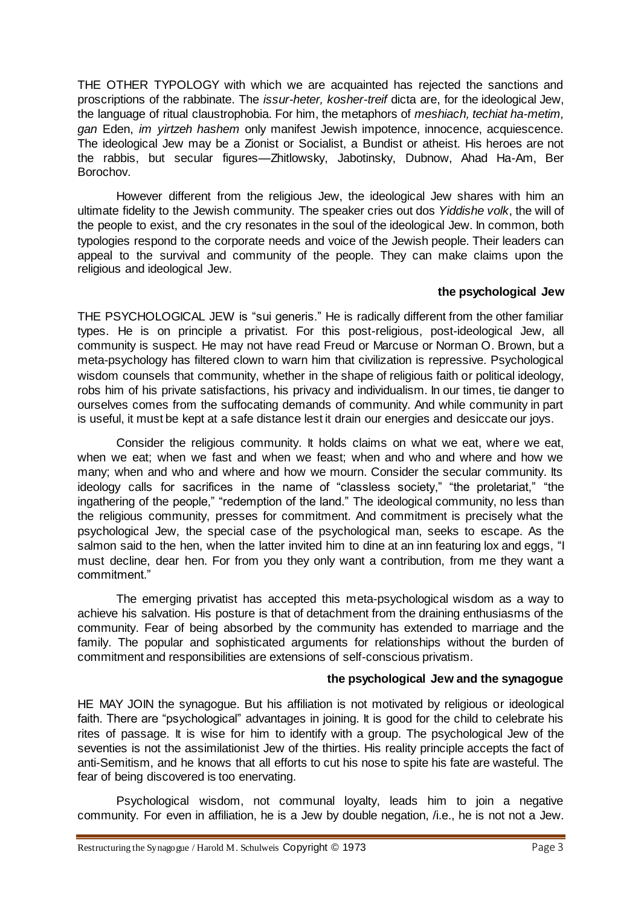THE OTHER TYPOLOGY with which we are acquainted has rejected the sanctions and proscriptions of the rabbinate. The *issur-heter, kosher-treif* dicta are, for the ideological Jew, the language of ritual claustrophobia. For him, the metaphors of *meshiach, techiat ha-metim, gan* Eden, *im yirtzeh hashem* only manifest Jewish impotence, innocence, acquiescence. The ideological Jew may be a Zionist or Socialist, a Bundist or atheist. His heroes are not the rabbis, but secular figures—Zhitlowsky, Jabotinsky, Dubnow, Ahad Ha-Am, Ber Borochov.

However different from the religious Jew, the ideological Jew shares with him an ultimate fidelity to the Jewish community. The speaker cries out dos *Yiddishe volk*, the will of the people to exist, and the cry resonates in the soul of the ideological Jew. In common, both typologies respond to the corporate needs and voice of the Jewish people. Their leaders can appeal to the survival and community of the people. They can make claims upon the religious and ideological Jew.

## **the psychological Jew**

THE PSYCHOLOGICAL JEW is "sui generis." He is radically different from the other familiar types. He is on principle a privatist. For this post-religious, post-ideological Jew, all community is suspect. He may not have read Freud or Marcuse or Norman O. Brown, but a meta-psychology has filtered clown to warn him that civilization is repressive. Psychological wisdom counsels that community, whether in the shape of religious faith or political ideology. robs him of his private satisfactions, his privacy and individualism. In our times, tie danger to ourselves comes from the suffocating demands of community. And while community in part is useful, it must be kept at a safe distance lest it drain our energies and desiccate our joys.

Consider the religious community. It holds claims on what we eat, where we eat, when we eat; when we fast and when we feast; when and who and where and how we many; when and who and where and how we mourn. Consider the secular community. Its ideology calls for sacrifices in the name of "classless society," "the proletariat," "the ingathering of the people," "redemption of the land." The ideological community, no less than the religious community, presses for commitment. And commitment is precisely what the psychological Jew, the special case of the psychological man, seeks to escape. As the salmon said to the hen, when the latter invited him to dine at an inn featuring lox and eggs, "I must decline, dear hen. For from you they only want a contribution, from me they want a commitment."

The emerging privatist has accepted this meta-psychological wisdom as a way to achieve his salvation. His posture is that of detachment from the draining enthusiasms of the community. Fear of being absorbed by the community has extended to marriage and the family. The popular and sophisticated arguments for relationships without the burden of commitment and responsibilities are extensions of self-conscious privatism.

# **the psychological Jew and the synagogue**

HE MAY JOIN the synagogue. But his affiliation is not motivated by religious or ideological faith. There are "psychological" advantages in joining. It is good for the child to celebrate his rites of passage. It is wise for him to identify with a group. The psychological Jew of the seventies is not the assimilationist Jew of the thirties. His reality principle accepts the fact of anti-Semitism, and he knows that all efforts to cut his nose to spite his fate are wasteful. The fear of being discovered is too enervating.

Psychological wisdom, not communal loyalty, leads him to join a negative community. For even in affiliation, he is a Jew by double negation, /i.e., he is not not a Jew.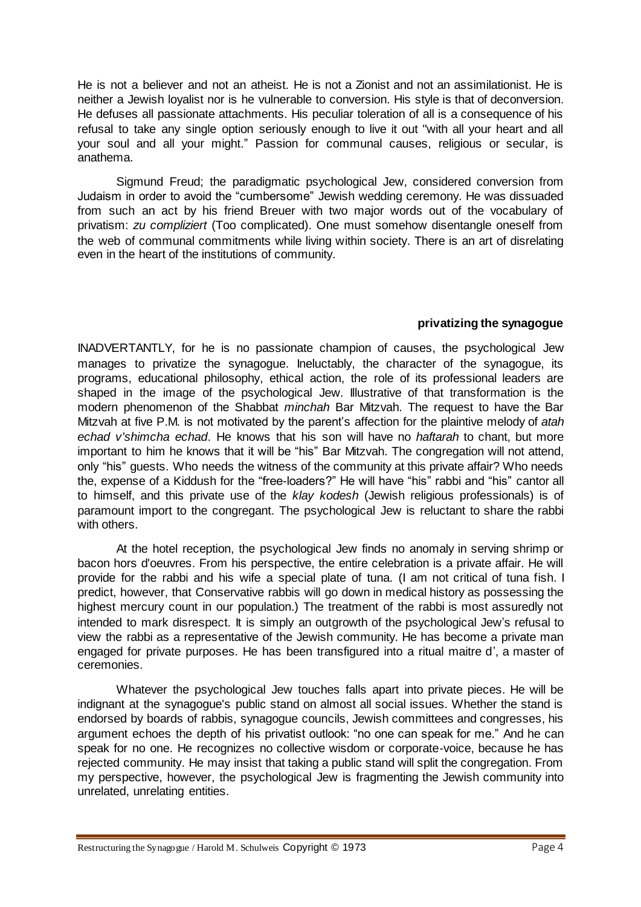He is not a believer and not an atheist. He is not a Zionist and not an assimilationist. He is neither a Jewish loyalist nor is he vulnerable to conversion. His style is that of deconversion. He defuses all passionate attachments. His peculiar toleration of all is a consequence of his refusal to take any single option seriously enough to live it out "with all your heart and all your soul and all your might." Passion for communal causes, religious or secular, is anathema.

Sigmund Freud; the paradigmatic psychological Jew, considered conversion from Judaism in order to avoid the "cumbersome" Jewish wedding ceremony. He was dissuaded from such an act by his friend Breuer with two major words out of the vocabulary of privatism: *zu compliziert* (Too complicated). One must somehow disentangle oneself from the web of communal commitments while living within society. There is an art of disrelating even in the heart of the institutions of community.

### **privatizing the synagogue**

INADVERTANTLY, for he is no passionate champion of causes, the psychological Jew manages to privatize the synagogue. Ineluctably, the character of the synagogue, its programs, educational philosophy, ethical action, the role of its professional leaders are shaped in the image of the psychological Jew. Illustrative of that transformation is the modern phenomenon of the Shabbat *minchah* Bar Mitzvah. The request to have the Bar Mitzvah at five P.M. is not motivated by the parent's affection for the plaintive melody of *atah echad v'shimcha echad*. He knows that his son will have no *haftarah* to chant, but more important to him he knows that it will be "his" Bar Mitzvah. The congregation will not attend, only "his" guests. Who needs the witness of the community at this private affair? Who needs the, expense of a Kiddush for the "free-loaders?" He will have "his" rabbi and "his" cantor all to himself, and this private use of the *klay kodesh* (Jewish religious professionals) is of paramount import to the congregant. The psychological Jew is reluctant to share the rabbi with others.

At the hotel reception, the psychological Jew finds no anomaly in serving shrimp or bacon hors d'oeuvres. From his perspective, the entire celebration is a private affair. He will provide for the rabbi and his wife a special plate of tuna. (I am not critical of tuna fish. I predict, however, that Conservative rabbis will go down in medical history as possessing the highest mercury count in our population.) The treatment of the rabbi is most assuredly not intended to mark disrespect. It is simply an outgrowth of the psychological Jew's refusal to view the rabbi as a representative of the Jewish community. He has become a private man engaged for private purposes. He has been transfigured into a ritual maitre d', a master of ceremonies.

Whatever the psychological Jew touches falls apart into private pieces. He will be indignant at the synagogue's public stand on almost all social issues. Whether the stand is endorsed by boards of rabbis, synagogue councils, Jewish committees and congresses, his argument echoes the depth of his privatist outlook: "no one can speak for me." And he can speak for no one. He recognizes no collective wisdom or corporate-voice, because he has rejected community. He may insist that taking a public stand will split the congregation. From my perspective, however, the psychological Jew is fragmenting the Jewish community into unrelated, unrelating entities.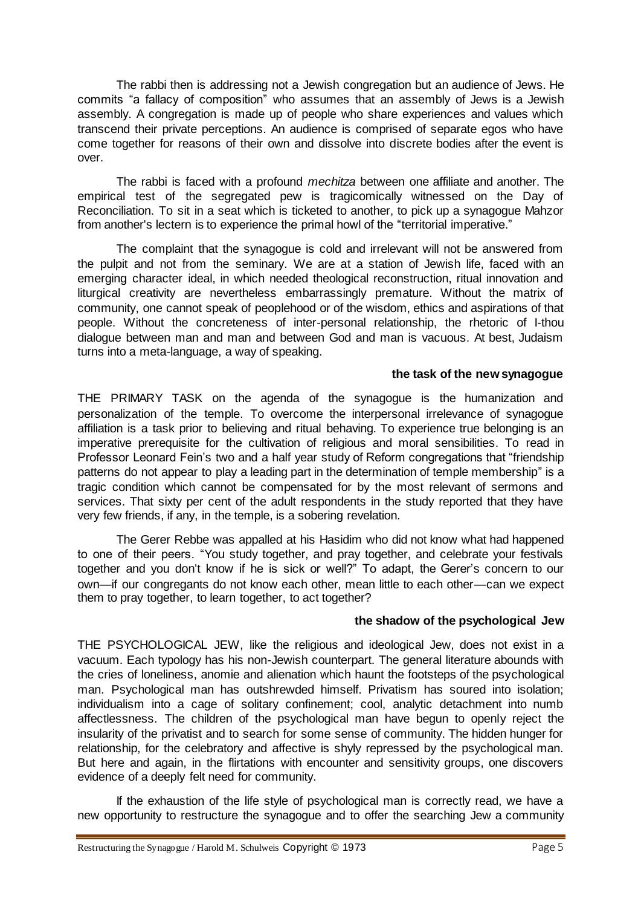The rabbi then is addressing not a Jewish congregation but an audience of Jews. He commits "a fallacy of composition" who assumes that an assembly of Jews is a Jewish assembly. A congregation is made up of people who share experiences and values which transcend their private perceptions. An audience is comprised of separate egos who have come together for reasons of their own and dissolve into discrete bodies after the event is over.

The rabbi is faced with a profound *mechitza* between one affiliate and another. The empirical test of the segregated pew is tragicomically witnessed on the Day of Reconciliation. To sit in a seat which is ticketed to another, to pick up a synagogue Mahzor from another's lectern is to experience the primal howl of the "territorial imperative."

The complaint that the synagogue is cold and irrelevant will not be answered from the pulpit and not from the seminary. We are at a station of Jewish life, faced with an emerging character ideal, in which needed theological reconstruction, ritual innovation and liturgical creativity are nevertheless embarrassingly premature. Without the matrix of community, one cannot speak of peoplehood or of the wisdom, ethics and aspirations of that people. Without the concreteness of inter-personal relationship, the rhetoric of I-thou dialogue between man and man and between God and man is vacuous. At best, Judaism turns into a meta-language, a way of speaking.

#### **the task of the new synagogue**

THE PRIMARY TASK on the agenda of the synagogue is the humanization and personalization of the temple. To overcome the interpersonal irrelevance of synagogue affiliation is a task prior to believing and ritual behaving. To experience true belonging is an imperative prerequisite for the cultivation of religious and moral sensibilities. To read in Professor Leonard Fein's two and a half year study of Reform congregations that "friendship patterns do not appear to play a leading part in the determination of temple membership" is a tragic condition which cannot be compensated for by the most relevant of sermons and services. That sixty per cent of the adult respondents in the study reported that they have very few friends, if any, in the temple, is a sobering revelation.

The Gerer Rebbe was appalled at his Hasidim who did not know what had happened to one of their peers. "You study together, and pray together, and celebrate your festivals together and you don't know if he is sick or well?" To adapt, the Gerer's concern to our own—if our congregants do not know each other, mean little to each other—can we expect them to pray together, to learn together, to act together?

## **the shadow of the psychological Jew**

THE PSYCHOLOGICAL JEW, like the religious and ideological Jew, does not exist in a vacuum. Each typology has his non-Jewish counterpart. The general literature abounds with the cries of loneliness, anomie and alienation which haunt the footsteps of the psychological man. Psychological man has outshrewded himself. Privatism has soured into isolation; individualism into a cage of solitary confinement; cool, analytic detachment into numb affectlessness. The children of the psychological man have begun to openly reject the insularity of the privatist and to search for some sense of community. The hidden hunger for relationship, for the celebratory and affective is shyly repressed by the psychological man. But here and again, in the flirtations with encounter and sensitivity groups, one discovers evidence of a deeply felt need for community.

If the exhaustion of the life style of psychological man is correctly read, we have a new opportunity to restructure the synagogue and to offer the searching Jew a community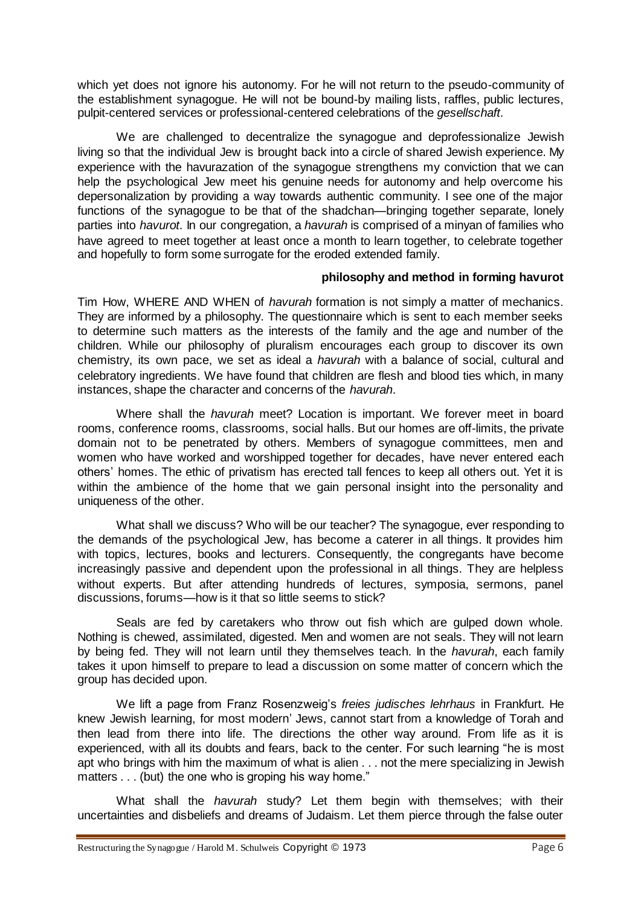which yet does not ignore his autonomy. For he will not return to the pseudo-community of the establishment synagogue. He will not be bound-by mailing lists, raffles, public lectures, pulpit-centered services or professional-centered celebrations of the *gesellschaft*.

We are challenged to decentralize the synagogue and deprofessionalize Jewish living so that the individual Jew is brought back into a circle of shared Jewish experience. My experience with the havurazation of the synagogue strengthens my conviction that we can help the psychological Jew meet his genuine needs for autonomy and help overcome his depersonalization by providing a way towards authentic community. I see one of the major functions of the synagogue to be that of the shadchan—bringing together separate, lonely parties into *havurot*. In our congregation, a *havurah* is comprised of a minyan of families who have agreed to meet together at least once a month to learn together, to celebrate together and hopefully to form some surrogate for the eroded extended family.

## **philosophy and method in forming havurot**

Tim How, WHERE AND WHEN of *havurah* formation is not simply a matter of mechanics. They are informed by a philosophy. The questionnaire which is sent to each member seeks to determine such matters as the interests of the family and the age and number of the children. While our philosophy of pluralism encourages each group to discover its own chemistry, its own pace, we set as ideal a *havurah* with a balance of social, cultural and celebratory ingredients. We have found that children are flesh and blood ties which, in many instances, shape the character and concerns of the *havurah*.

Where shall the *havurah* meet? Location is important. We forever meet in board rooms, conference rooms, classrooms, social halls. But our homes are off-limits, the private domain not to be penetrated by others. Members of synagogue committees, men and women who have worked and worshipped together for decades, have never entered each others' homes. The ethic of privatism has erected tall fences to keep all others out. Yet it is within the ambience of the home that we gain personal insight into the personality and uniqueness of the other.

What shall we discuss? Who will be our teacher? The synagogue, ever responding to the demands of the psychological Jew, has become a caterer in all things. It provides him with topics, lectures, books and lecturers. Consequently, the congregants have become increasingly passive and dependent upon the professional in all things. They are helpless without experts. But after attending hundreds of lectures, symposia, sermons, panel discussions, forums—how is it that so little seems to stick?

Seals are fed by caretakers who throw out fish which are gulped down whole. Nothing is chewed, assimilated, digested. Men and women are not seals. They will not learn by being fed. They will not learn until they themselves teach. In the *havurah*, each family takes it upon himself to prepare to lead a discussion on some matter of concern which the group has decided upon.

We lift a page from Franz Rosenzweig's *freies judisches lehrhaus* in Frankfurt. He knew Jewish learning, for most modern' Jews, cannot start from a knowledge of Torah and then lead from there into life. The directions the other way around. From life as it is experienced, with all its doubts and fears, back to the center. For such learning "he is most apt who brings with him the maximum of what is alien . . . not the mere specializing in Jewish matters . . . (but) the one who is groping his way home."

What shall the *havurah* study? Let them begin with themselves; with their uncertainties and disbeliefs and dreams of Judaism. Let them pierce through the false outer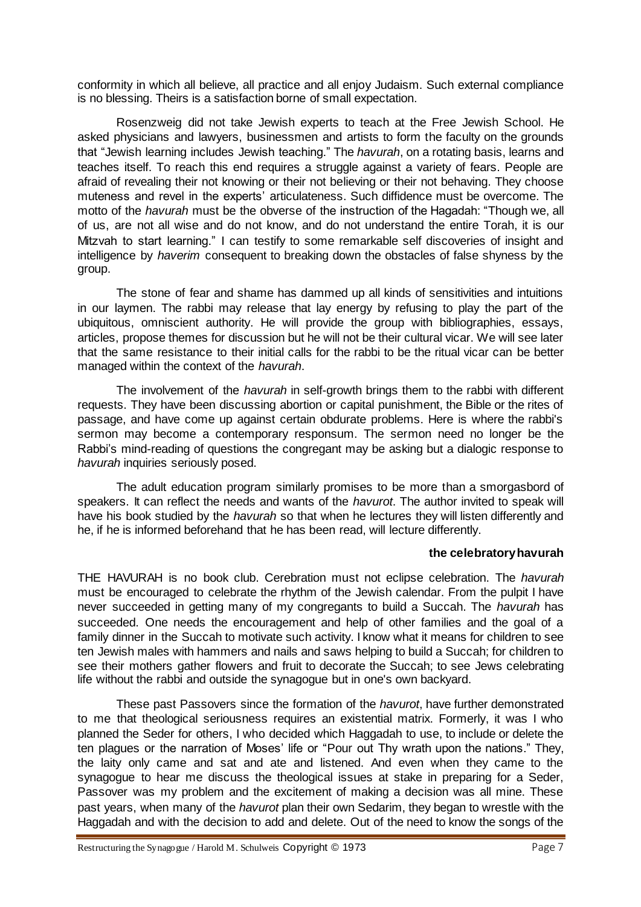conformity in which all believe, all practice and all enjoy Judaism. Such external compliance is no blessing. Theirs is a satisfaction borne of small expectation.

Rosenzweig did not take Jewish experts to teach at the Free Jewish School. He asked physicians and lawyers, businessmen and artists to form the faculty on the grounds that "Jewish learning includes Jewish teaching." The *havurah*, on a rotating basis, learns and teaches itself. To reach this end requires a struggle against a variety of fears. People are afraid of revealing their not knowing or their not believing or their not behaving. They choose muteness and revel in the experts' articulateness. Such diffidence must be overcome. The motto of the *havurah* must be the obverse of the instruction of the Hagadah: "Though we, all of us, are not all wise and do not know, and do not understand the entire Torah, it is our Mitzvah to start learning." I can testify to some remarkable self discoveries of insight and intelligence by *haverim* consequent to breaking down the obstacles of false shyness by the group.

The stone of fear and shame has dammed up all kinds of sensitivities and intuitions in our laymen. The rabbi may release that lay energy by refusing to play the part of the ubiquitous, omniscient authority. He will provide the group with bibliographies, essays, articles, propose themes for discussion but he will not be their cultural vicar. We will see later that the same resistance to their initial calls for the rabbi to be the ritual vicar can be better managed within the context of the *havurah*.

The involvement of the *havurah* in self-growth brings them to the rabbi with different requests. They have been discussing abortion or capital punishment, the Bible or the rites of passage, and have come up against certain obdurate problems. Here is where the rabbi's sermon may become a contemporary responsum. The sermon need no longer be the Rabbi's mind-reading of questions the congregant may be asking but a dialogic response to *havurah* inquiries seriously posed.

The adult education program similarly promises to be more than a smorgasbord of speakers. It can reflect the needs and wants of the *havurot*. The author invited to speak will have his book studied by the *havurah* so that when he lectures they will listen differently and he, if he is informed beforehand that he has been read, will lecture differently.

#### **the celebratory havurah**

THE HAVURAH is no book club. Cerebration must not eclipse celebration. The *havurah* must be encouraged to celebrate the rhythm of the Jewish calendar. From the pulpit I have never succeeded in getting many of my congregants to build a Succah. The *havurah* has succeeded. One needs the encouragement and help of other families and the goal of a family dinner in the Succah to motivate such activity. I know what it means for children to see ten Jewish males with hammers and nails and saws helping to build a Succah; for children to see their mothers gather flowers and fruit to decorate the Succah; to see Jews celebrating life without the rabbi and outside the synagogue but in one's own backyard.

These past Passovers since the formation of the *havurot*, have further demonstrated to me that theological seriousness requires an existential matrix. Formerly, it was I who planned the Seder for others, I who decided which Haggadah to use, to include or delete the ten plagues or the narration of Moses' life or "Pour out Thy wrath upon the nations." They, the laity only came and sat and ate and listened. And even when they came to the synagogue to hear me discuss the theological issues at stake in preparing for a Seder, Passover was my problem and the excitement of making a decision was all mine. These past years, when many of the *havurot* plan their own Sedarim, they began to wrestle with the Haggadah and with the decision to add and delete. Out of the need to know the songs of the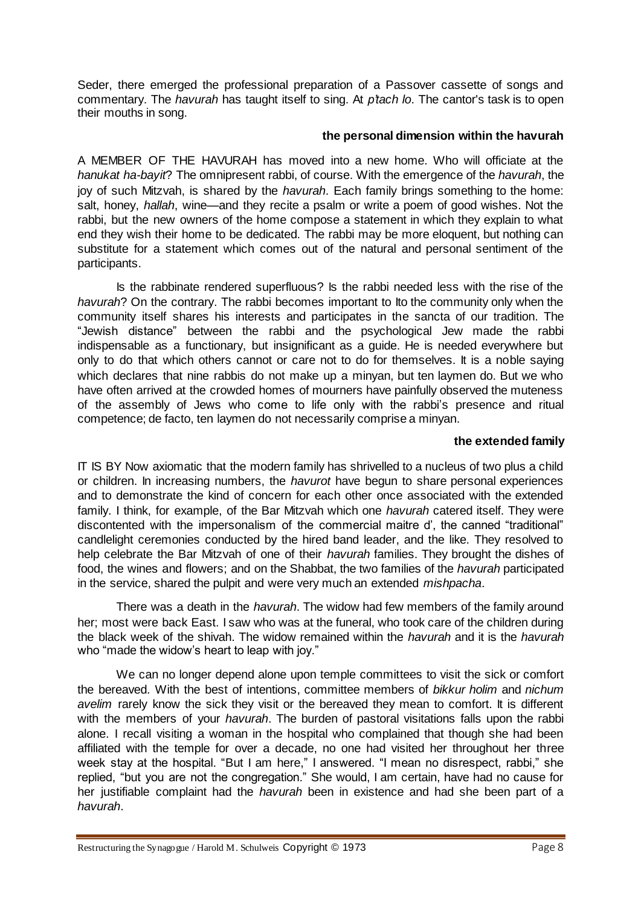Seder, there emerged the professional preparation of a Passover cassette of songs and commentary. The *havurah* has taught itself to sing. At *p'tach lo*. The cantor's task is to open their mouths in song.

### **the personal dimension within the havurah**

A MEMBER OF THE HAVURAH has moved into a new home. Who will officiate at the *hanukat ha-bayit*? The omnipresent rabbi, of course. With the emergence of the *havurah*, the joy of such Mitzvah, is shared by the *havurah*. Each family brings something to the home: salt, honey, *hallah*, wine—and they recite a psalm or write a poem of good wishes. Not the rabbi, but the new owners of the home compose a statement in which they explain to what end they wish their home to be dedicated. The rabbi may be more eloquent, but nothing can substitute for a statement which comes out of the natural and personal sentiment of the participants.

Is the rabbinate rendered superfluous? Is the rabbi needed less with the rise of the *havurah*? On the contrary. The rabbi becomes important to Ito the community only when the community itself shares his interests and participates in the sancta of our tradition. The "Jewish distance" between the rabbi and the psychological Jew made the rabbi indispensable as a functionary, but insignificant as a guide. He is needed everywhere but only to do that which others cannot or care not to do for themselves. It is a noble saying which declares that nine rabbis do not make up a minyan, but ten laymen do. But we who have often arrived at the crowded homes of mourners have painfully observed the muteness of the assembly of Jews who come to life only with the rabbi's presence and ritual competence; de facto, ten laymen do not necessarily comprise a minyan.

# **the extended family**

IT IS BY Now axiomatic that the modern family has shrivelled to a nucleus of two plus a child or children. In increasing numbers, the *havurot* have begun to share personal experiences and to demonstrate the kind of concern for each other once associated with the extended family. I think, for example, of the Bar Mitzvah which one *havurah* catered itself. They were discontented with the impersonalism of the commercial maitre d', the canned "traditional" candlelight ceremonies conducted by the hired band leader, and the like. They resolved to help celebrate the Bar Mitzvah of one of their *havurah* families. They brought the dishes of food, the wines and flowers; and on the Shabbat, the two families of the *havurah* participated in the service, shared the pulpit and were very much an extended *mishpacha*.

There was a death in the *havurah*. The widow had few members of the family around her; most were back East. I saw who was at the funeral, who took care of the children during the black week of the shivah. The widow remained within the *havurah* and it is the *havurah* who "made the widow's heart to leap with joy."

We can no longer depend alone upon temple committees to visit the sick or comfort the bereaved. With the best of intentions, committee members of *bikkur holim* and *nichum avelim* rarely know the sick they visit or the bereaved they mean to comfort. It is different with the members of your *havurah*. The burden of pastoral visitations falls upon the rabbi alone. I recall visiting a woman in the hospital who complained that though she had been affiliated with the temple for over a decade, no one had visited her throughout her three week stay at the hospital. "But I am here," I answered. "I mean no disrespect, rabbi," she replied, "but you are not the congregation." She would, I am certain, have had no cause for her justifiable complaint had the *havurah* been in existence and had she been part of a *havurah*.